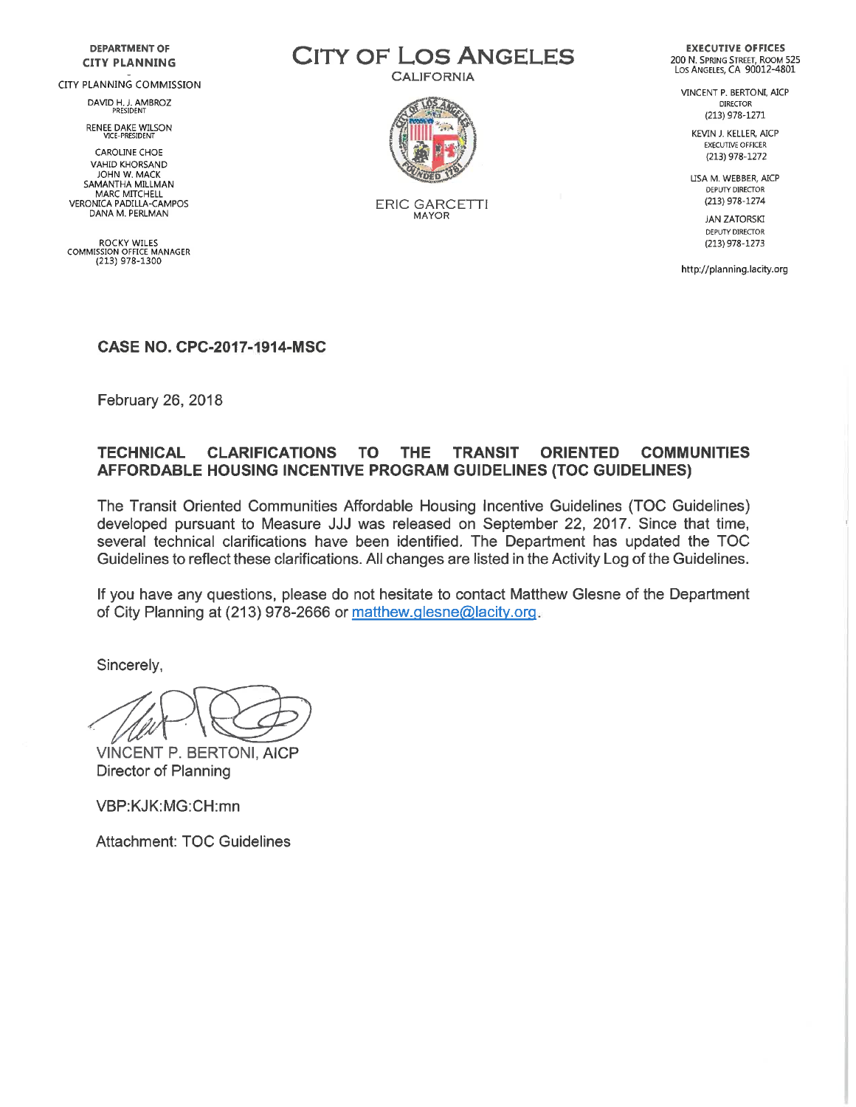#### **DEPARTMENT OF CITY PLANNING**

#### CITY PLANNING COMMISSION

DAVID H. J. AMBROZ<br>PRESIDENT

RENEE DAKE WILSON

**CAROLINE CHOE VAHID KHORSAND** JOHN W. MACK SAMANTHA MILLMAN MARC MITCHELL VERONICA PADILLA-CAMPOS DANA M. PERLMAN

ROCKY WILES<br>COMMISSION OFFICE MANAGER (213) 978-1300

**CITY OF LOS ANGELES** 

**CALIFORNIA** 



**ERIC GARCETTI MAYOR** 

**EXECUTIVE OFFICES** 200 N. SPRING STREET, ROOM 525<br>LOS ANGELES, CA 90012-4801

VINCENT P. BERTONI, AICP **DIRECTOR** (213) 978-1271

KEVIN J. KELLER, AICP EXECUTIVE OFFICER (213) 978-1272

LISA M. WEBBER, AICP DEPUTY DIRECTOR (213) 978-1274

> **JAN ZATORSKI** DEPUTY DIRECTOR (213) 978-1273

http://planning.lacity.org

#### **CASE NO. CPC-2017-1914-MSC**

February 26, 2018

#### **TECHNICAL CLARIFICATIONS TO THE TRANSIT ORIENTED COMMUNITIES AFFORDABLE HOUSING INCENTIVE PROGRAM GUIDELINES (TOC GUIDELINES)**

The Transit Oriented Communities Affordable Housing Incentive Guidelines (TOC Guidelines) developed pursuant to Measure JJJ was released on September 22, 2017. Since that time, several technical clarifications have been identified. The Department has updated the TOC Guidelines to reflect these clarifications. All changes are listed in the Activity Log of the Guidelines.

If you have any questions, please do not hesitate to contact Matthew Glesne of the Department of City Planning at (213) 978-2666 or matthew glesne@lacity org.

Sincerely,

**VINCENT P. BERTONI, AICP** Director of Planning

VBP:KJK:MG:CH:mn

**Attachment: TOC Guidelines**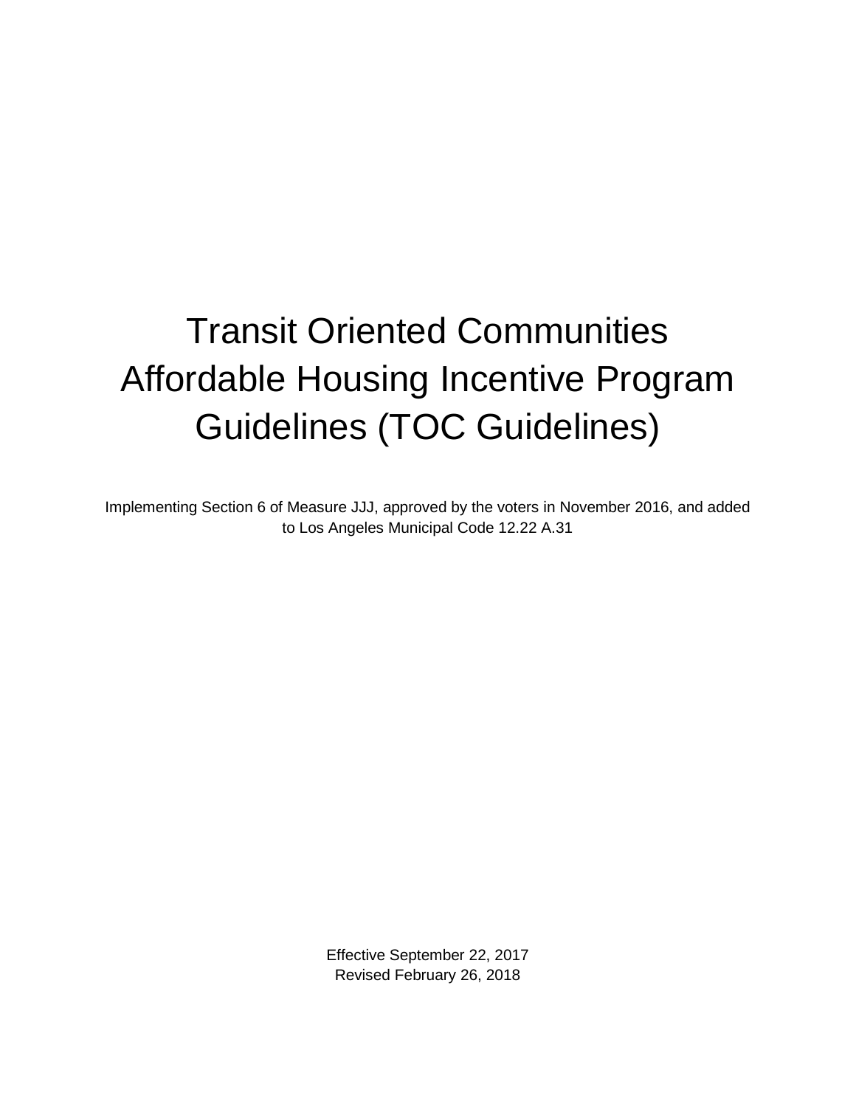# Transit Oriented Communities Affordable Housing Incentive Program Guidelines (TOC Guidelines)

Implementing Section 6 of Measure JJJ, approved by the voters in November 2016, and added to Los Angeles Municipal Code 12.22 A.31

> Effective September 22, 2017 Revised February 26, 2018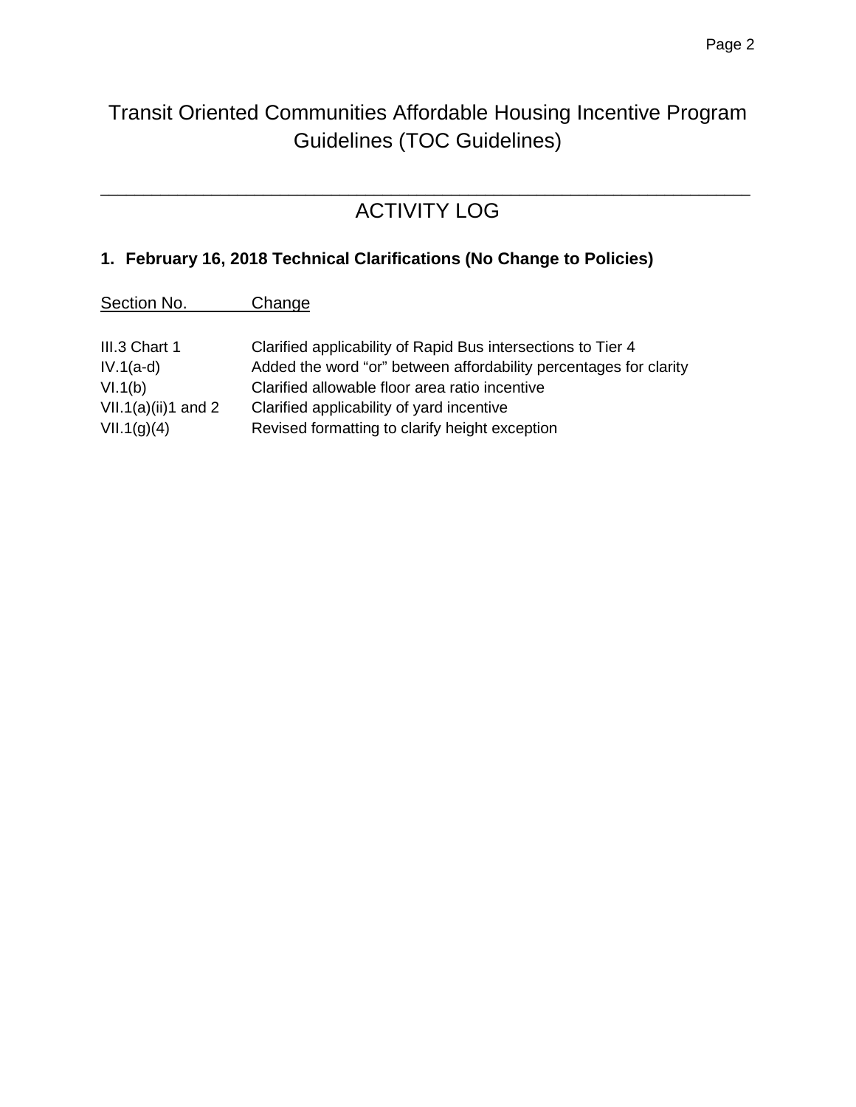# Transit Oriented Communities Affordable Housing Incentive Program Guidelines (TOC Guidelines)

### \_\_\_\_\_\_\_\_\_\_\_\_\_\_\_\_\_\_\_\_\_\_\_\_\_\_\_\_\_\_\_\_\_\_\_\_\_\_\_\_\_\_\_\_\_\_\_\_\_\_\_\_\_\_\_\_\_\_\_\_\_\_\_\_\_\_\_\_\_\_\_\_\_\_\_\_ ACTIVITY LOG

## **1. February 16, 2018 Technical Clarifications (No Change to Policies)**

| Section No.                   | Change                                                            |
|-------------------------------|-------------------------------------------------------------------|
| III.3 Chart 1                 | Clarified applicability of Rapid Bus intersections to Tier 4      |
| $IV.1(a-d)$                   | Added the word "or" between affordability percentages for clarity |
| $\binom{1}{1}$ $\binom{1}{2}$ | Clarifical elleviable fleer eree retie incontiun                  |

VI.1(b) Clarified allowable floor area ratio incentive VII.1(a)(ii)1 and 2 Clarified applicability of yard incentive VII.1(g)(4) Revised formatting to clarify height exception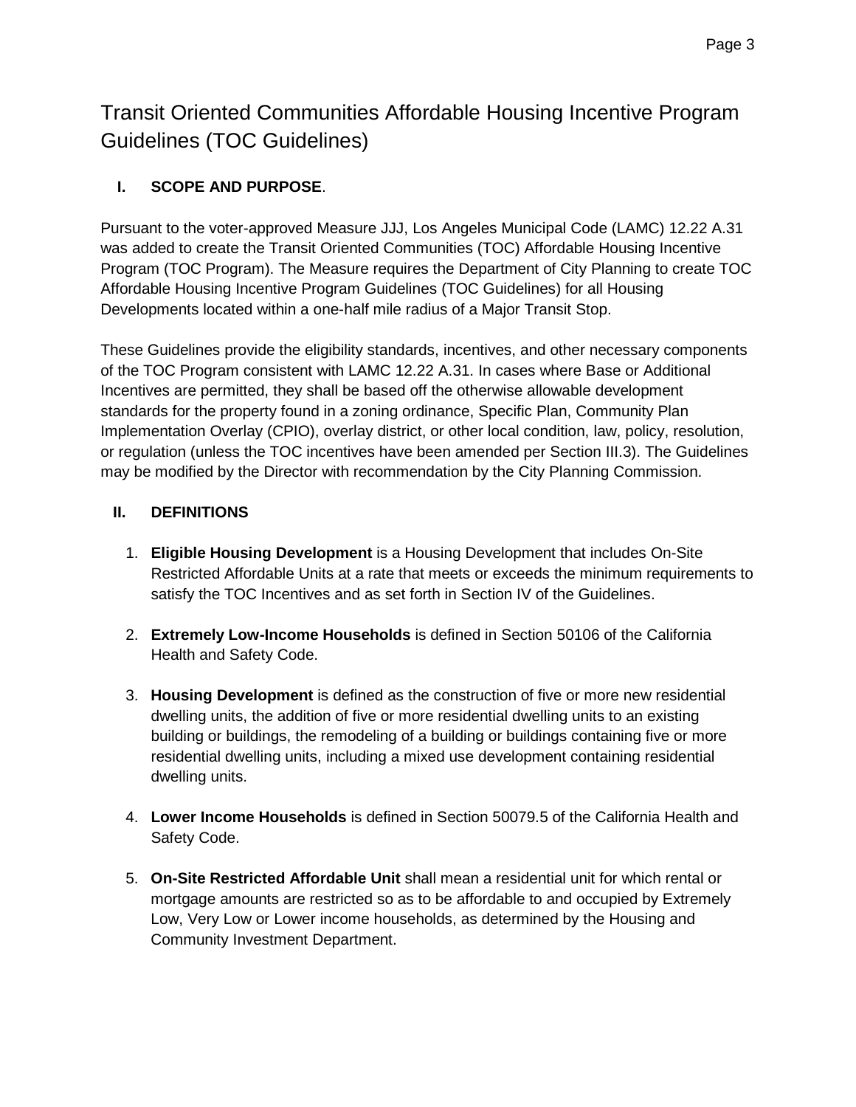Transit Oriented Communities Affordable Housing Incentive Program Guidelines (TOC Guidelines)

#### **I. SCOPE AND PURPOSE**.

Pursuant to the voter-approved Measure JJJ, Los Angeles Municipal Code (LAMC) 12.22 A.31 was added to create the Transit Oriented Communities (TOC) Affordable Housing Incentive Program (TOC Program). The Measure requires the Department of City Planning to create TOC Affordable Housing Incentive Program Guidelines (TOC Guidelines) for all Housing Developments located within a one-half mile radius of a Major Transit Stop.

These Guidelines provide the eligibility standards, incentives, and other necessary components of the TOC Program consistent with LAMC 12.22 A.31. In cases where Base or Additional Incentives are permitted, they shall be based off the otherwise allowable development standards for the property found in a zoning ordinance, Specific Plan, Community Plan Implementation Overlay (CPIO), overlay district, or other local condition, law, policy, resolution, or regulation (unless the TOC incentives have been amended per Section III.3). The Guidelines may be modified by the Director with recommendation by the City Planning Commission.

#### **II. DEFINITIONS**

- 1. **Eligible Housing Development** is a Housing Development that includes On-Site Restricted Affordable Units at a rate that meets or exceeds the minimum requirements to satisfy the TOC Incentives and as set forth in Section IV of the Guidelines.
- 2. **Extremely Low-Income Households** is defined in Section 50106 of the California Health and Safety Code.
- 3. **Housing Development** is defined as the construction of five or more new residential dwelling units, the addition of five or more residential dwelling units to an existing building or buildings, the remodeling of a building or buildings containing five or more residential dwelling units, including a mixed use development containing residential dwelling units.
- 4. **Lower Income Households** is defined in Section 50079.5 of the California Health and Safety Code.
- 5. **On-Site Restricted Affordable Unit** shall mean a residential unit for which rental or mortgage amounts are restricted so as to be affordable to and occupied by Extremely Low, Very Low or Lower income households, as determined by the Housing and Community Investment Department.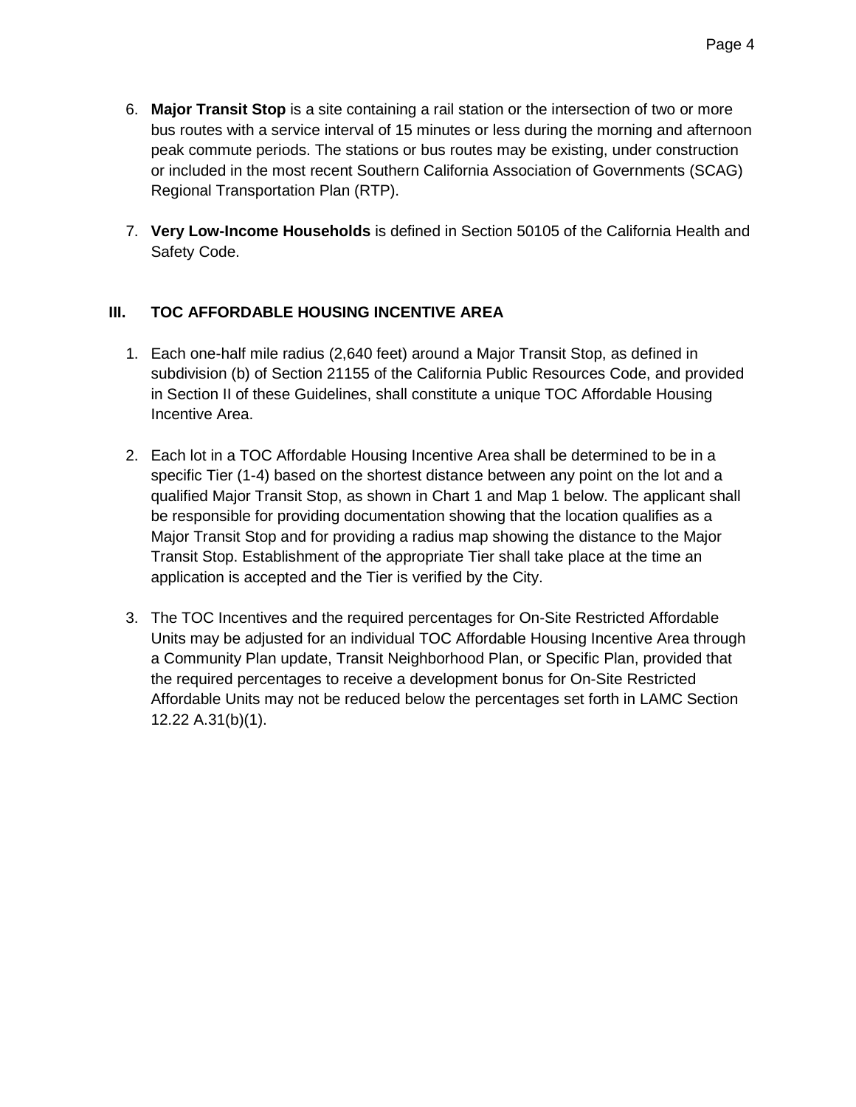- 6. **Major Transit Stop** is a site containing a rail station or the intersection of two or more bus routes with a service interval of 15 minutes or less during the morning and afternoon peak commute periods. The stations or bus routes may be existing, under construction or included in the most recent Southern California Association of Governments (SCAG) Regional Transportation Plan (RTP).
- 7. **Very Low-Income Households** is defined in Section 50105 of the California Health and Safety Code.

#### **III. TOC AFFORDABLE HOUSING INCENTIVE AREA**

- 1. Each one-half mile radius (2,640 feet) around a Major Transit Stop, as defined in subdivision (b) of Section 21155 of the California Public Resources Code, and provided in Section II of these Guidelines, shall constitute a unique TOC Affordable Housing Incentive Area.
- 2. Each lot in a TOC Affordable Housing Incentive Area shall be determined to be in a specific Tier (1-4) based on the shortest distance between any point on the lot and a qualified Major Transit Stop, as shown in Chart 1 and Map 1 below. The applicant shall be responsible for providing documentation showing that the location qualifies as a Major Transit Stop and for providing a radius map showing the distance to the Major Transit Stop. Establishment of the appropriate Tier shall take place at the time an application is accepted and the Tier is verified by the City.
- 3. The TOC Incentives and the required percentages for On-Site Restricted Affordable Units may be adjusted for an individual TOC Affordable Housing Incentive Area through a Community Plan update, Transit Neighborhood Plan, or Specific Plan, provided that the required percentages to receive a development bonus for On-Site Restricted Affordable Units may not be reduced below the percentages set forth in LAMC Section 12.22 A.31(b)(1).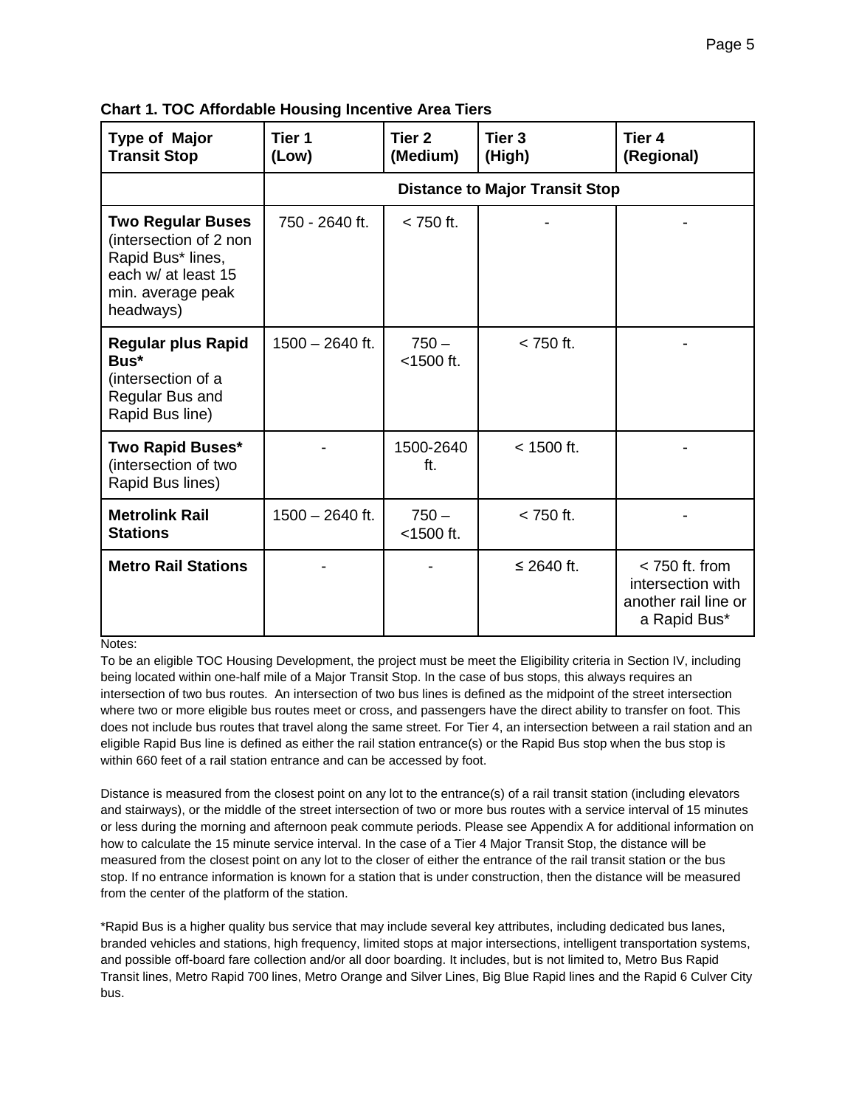| <b>Type of Major</b><br><b>Transit Stop</b>                                                                                      | Tier 1<br>(Low)                       | Tier <sub>2</sub><br>(Medium) | Tier <sub>3</sub><br>(High) | Tier <sub>4</sub><br>(Regional)                                               |  |  |  |
|----------------------------------------------------------------------------------------------------------------------------------|---------------------------------------|-------------------------------|-----------------------------|-------------------------------------------------------------------------------|--|--|--|
|                                                                                                                                  | <b>Distance to Major Transit Stop</b> |                               |                             |                                                                               |  |  |  |
| <b>Two Regular Buses</b><br>(intersection of 2 non<br>Rapid Bus* lines,<br>each w/ at least 15<br>min. average peak<br>headways) | 750 - 2640 ft.                        | $< 750$ ft.                   |                             |                                                                               |  |  |  |
| <b>Regular plus Rapid</b><br>Bus*<br>(intersection of a<br>Regular Bus and<br>Rapid Bus line)                                    | $1500 - 2640$ ft.                     | $750 -$<br>$<$ 1500 ft.       | $< 750$ ft.                 |                                                                               |  |  |  |
| <b>Two Rapid Buses*</b><br>(intersection of two<br>Rapid Bus lines)                                                              |                                       | 1500-2640<br>ft.              | $< 1500$ ft.                |                                                                               |  |  |  |
| <b>Metrolink Rail</b><br><b>Stations</b>                                                                                         | 1500 - 2640 ft.                       | $750 -$<br>$<$ 1500 ft.       | $<$ 750 ft.                 |                                                                               |  |  |  |
| <b>Metro Rail Stations</b>                                                                                                       |                                       |                               | ≤ 2640 ft.                  | $<$ 750 ft. from<br>intersection with<br>another rail line or<br>a Rapid Bus* |  |  |  |

**Chart 1. TOC Affordable Housing Incentive Area Tiers**

Notes:

To be an eligible TOC Housing Development, the project must be meet the Eligibility criteria in Section IV, including being located within one-half mile of a Major Transit Stop. In the case of bus stops, this always requires an intersection of two bus routes. An intersection of two bus lines is defined as the midpoint of the street intersection where two or more eligible bus routes meet or cross, and passengers have the direct ability to transfer on foot. This does not include bus routes that travel along the same street. For Tier 4, an intersection between a rail station and an eligible Rapid Bus line is defined as either the rail station entrance(s) or the Rapid Bus stop when the bus stop is within 660 feet of a rail station entrance and can be accessed by foot.

Distance is measured from the closest point on any lot to the entrance(s) of a rail transit station (including elevators and stairways), or the middle of the street intersection of two or more bus routes with a service interval of 15 minutes or less during the morning and afternoon peak commute periods. Please see Appendix A for additional information on how to calculate the 15 minute service interval. In the case of a Tier 4 Major Transit Stop, the distance will be measured from the closest point on any lot to the closer of either the entrance of the rail transit station or the bus stop. If no entrance information is known for a station that is under construction, then the distance will be measured from the center of the platform of the station.

\*Rapid Bus is a higher quality bus service that may include several key attributes, including dedicated bus lanes, branded vehicles and stations, high frequency, limited stops at major intersections, intelligent transportation systems, and possible off-board fare collection and/or all door boarding. It includes, but is not limited to, Metro Bus Rapid Transit lines, Metro Rapid 700 lines, Metro Orange and Silver Lines, Big Blue Rapid lines and the Rapid 6 Culver City bus.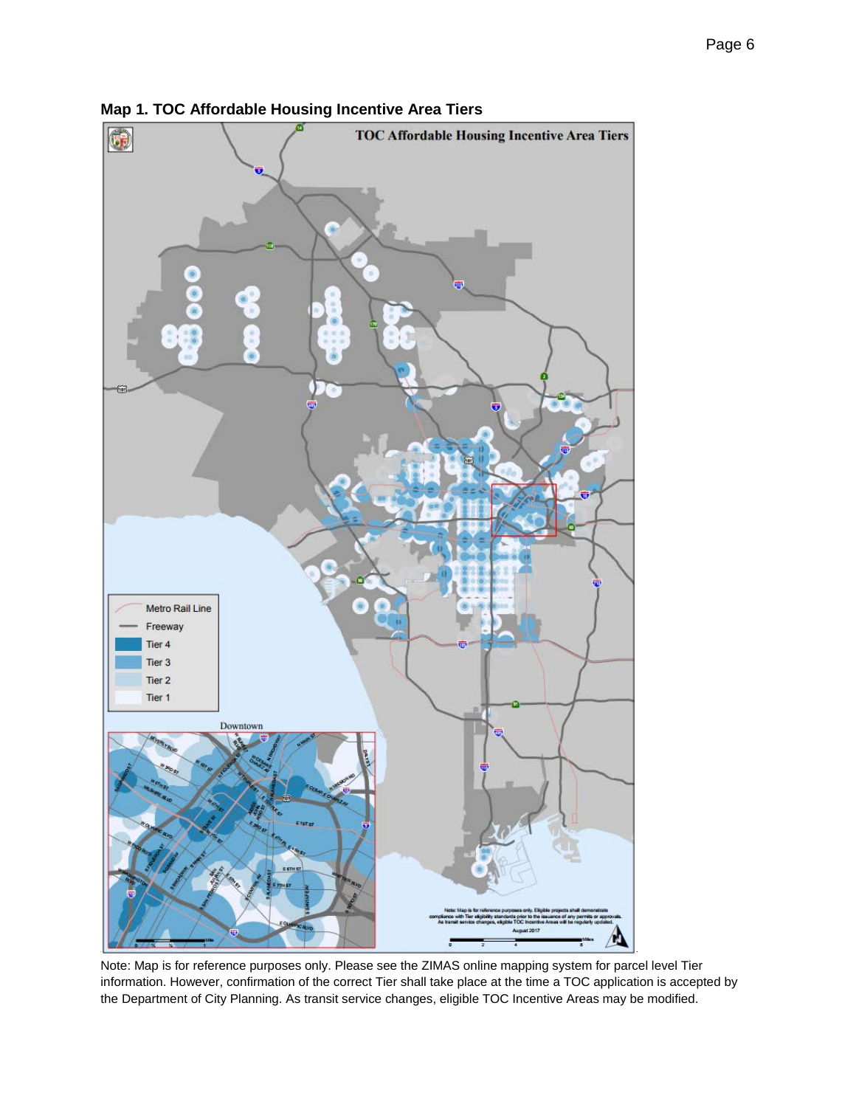

**Map 1. TOC Affordable Housing Incentive Area Tiers**

Note: Map is for reference purposes only. Please see the ZIMAS online mapping system for parcel level Tier information. However, confirmation of the correct Tier shall take place at the time a TOC application is accepted by the Department of City Planning. As transit service changes, eligible TOC Incentive Areas may be modified.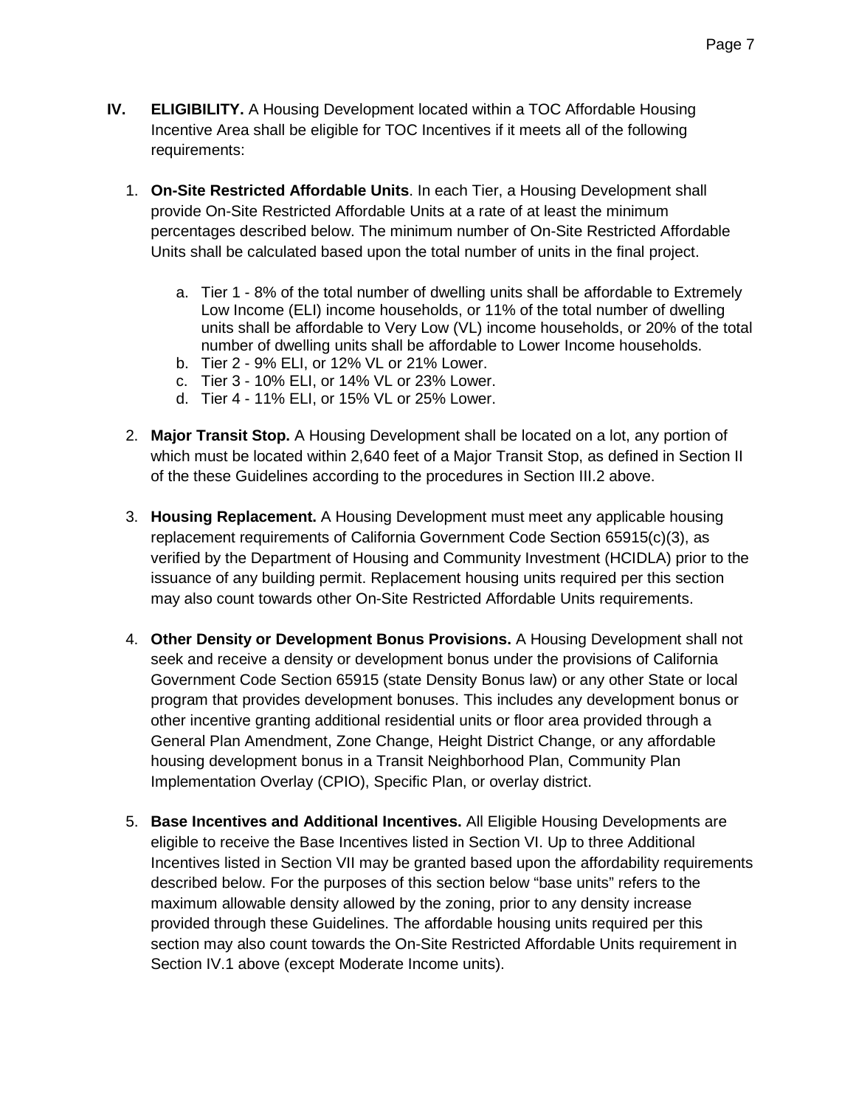- **IV. ELIGIBILITY.** A Housing Development located within a TOC Affordable Housing Incentive Area shall be eligible for TOC Incentives if it meets all of the following requirements:
	- 1. **On-Site Restricted Affordable Units**. In each Tier, a Housing Development shall provide On-Site Restricted Affordable Units at a rate of at least the minimum percentages described below. The minimum number of On-Site Restricted Affordable Units shall be calculated based upon the total number of units in the final project.
		- a. Tier 1 8% of the total number of dwelling units shall be affordable to Extremely Low Income (ELI) income households, or 11% of the total number of dwelling units shall be affordable to Very Low (VL) income households, or 20% of the total number of dwelling units shall be affordable to Lower Income households.
		- b. Tier 2 9% ELI, or 12% VL or 21% Lower.
		- c. Tier 3 10% ELI, or 14% VL or 23% Lower.
		- d. Tier 4 11% ELI, or 15% VL or 25% Lower.
	- 2. **Major Transit Stop.** A Housing Development shall be located on a lot, any portion of which must be located within 2,640 feet of a Major Transit Stop, as defined in Section II of the these Guidelines according to the procedures in Section III.2 above.
	- 3. **Housing Replacement.** A Housing Development must meet any applicable housing replacement requirements of California Government Code Section 65915(c)(3), as verified by the Department of Housing and Community Investment (HCIDLA) prior to the issuance of any building permit. Replacement housing units required per this section may also count towards other On-Site Restricted Affordable Units requirements.
	- 4. **Other Density or Development Bonus Provisions.** A Housing Development shall not seek and receive a density or development bonus under the provisions of California Government Code Section 65915 (state Density Bonus law) or any other State or local program that provides development bonuses. This includes any development bonus or other incentive granting additional residential units or floor area provided through a General Plan Amendment, Zone Change, Height District Change, or any affordable housing development bonus in a Transit Neighborhood Plan, Community Plan Implementation Overlay (CPIO), Specific Plan, or overlay district.
	- 5. **Base Incentives and Additional Incentives.** All Eligible Housing Developments are eligible to receive the Base Incentives listed in Section VI. Up to three Additional Incentives listed in Section VII may be granted based upon the affordability requirements described below. For the purposes of this section below "base units" refers to the maximum allowable density allowed by the zoning, prior to any density increase provided through these Guidelines. The affordable housing units required per this section may also count towards the On-Site Restricted Affordable Units requirement in Section IV.1 above (except Moderate Income units).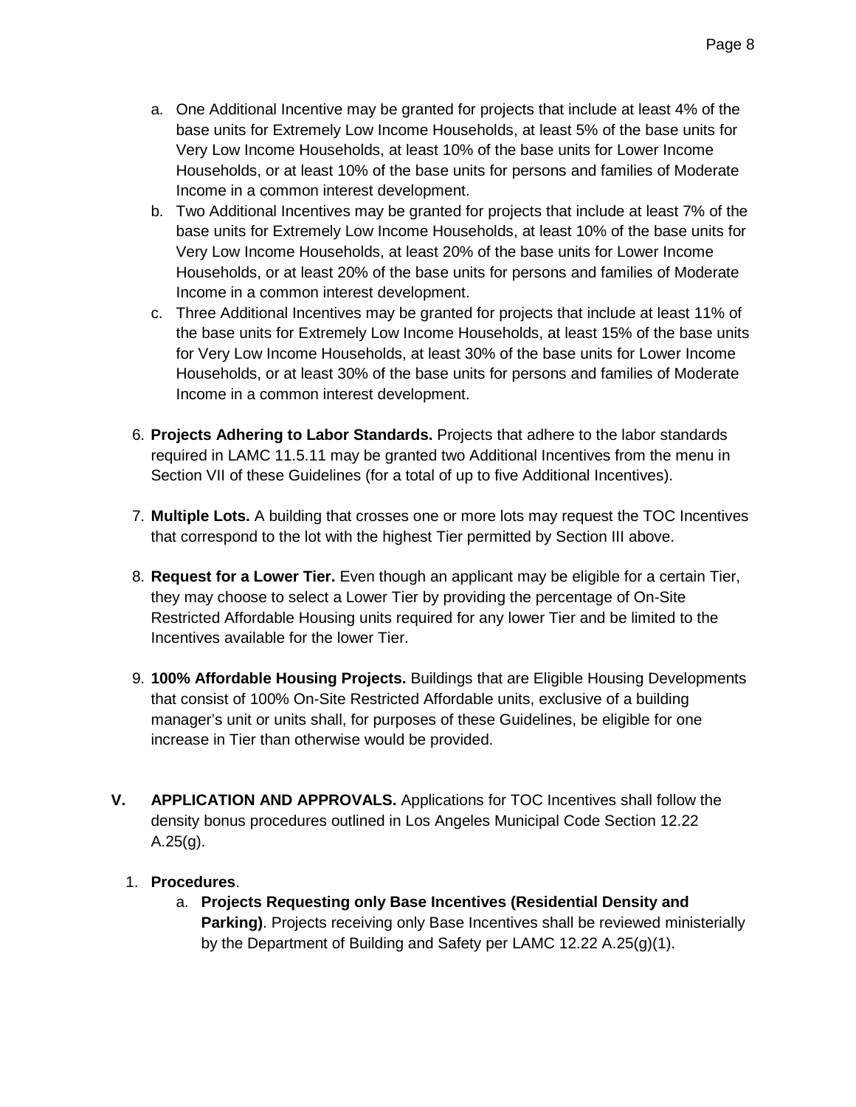- a. One Additional Incentive may be granted for projects that include at least 4% of the base units for Extremely Low Income Households, at least 5% of the base units for Very Low Income Households, at least 10% of the base units for Lower Income Households, or at least 10% of the base units for persons and families of Moderate Income in a common interest development.
- b. Two Additional Incentives may be granted for projects that include at least 7% of the base units for Extremely Low Income Households, at least 10% of the base units for Very Low Income Households, at least 20% of the base units for Lower Income Households, or at least 20% of the base units for persons and families of Moderate Income in a common interest development.
- c. Three Additional Incentives may be granted for projects that include at least 11% of the base units for Extremely Low Income Households, at least 15% of the base units for Very Low Income Households, at least 30% of the base units for Lower Income Households, or at least 30% of the base units for persons and families of Moderate Income in a common interest development.
- 6. **Projects Adhering to Labor Standards.** Projects that adhere to the labor standards required in LAMC 11.5.11 may be granted two Additional Incentives from the menu in Section VII of these Guidelines (for a total of up to five Additional Incentives).
- 7. **Multiple Lots.** A building that crosses one or more lots may request the TOC Incentives that correspond to the lot with the highest Tier permitted by Section III above.
- 8. **Request for a Lower Tier.** Even though an applicant may be eligible for a certain Tier, they may choose to select a Lower Tier by providing the percentage of On-Site Restricted Affordable Housing units required for any lower Tier and be limited to the Incentives available for the lower Tier.
- 9. **100% Affordable Housing Projects.** Buildings that are Eligible Housing Developments that consist of 100% On-Site Restricted Affordable units, exclusive of a building manager's unit or units shall, for purposes of these Guidelines, be eligible for one increase in Tier than otherwise would be provided.
- **V. APPLICATION AND APPROVALS.** Applications for TOC Incentives shall follow the density bonus procedures outlined in Los Angeles Municipal Code Section [12.22](http://library.amlegal.com/nxt/gateway.dll?f=templates$fn=default.htm$3.0$vid=amlegal:lapz_ca_m)  $A.25(g)$ .

#### 1. **Procedures**.

a. **Projects Requesting only Base Incentives (Residential Density and Parking)**. Projects receiving only Base Incentives shall be reviewed ministerially by the Department of Building and Safety per LAMC 12.22 [A.25\(g\)\(1\).](http://library.amlegal.com/nxt/gateway.dll?f=templates$fn=default.htm$3.0$vid=amlegal:lapz_ca_m)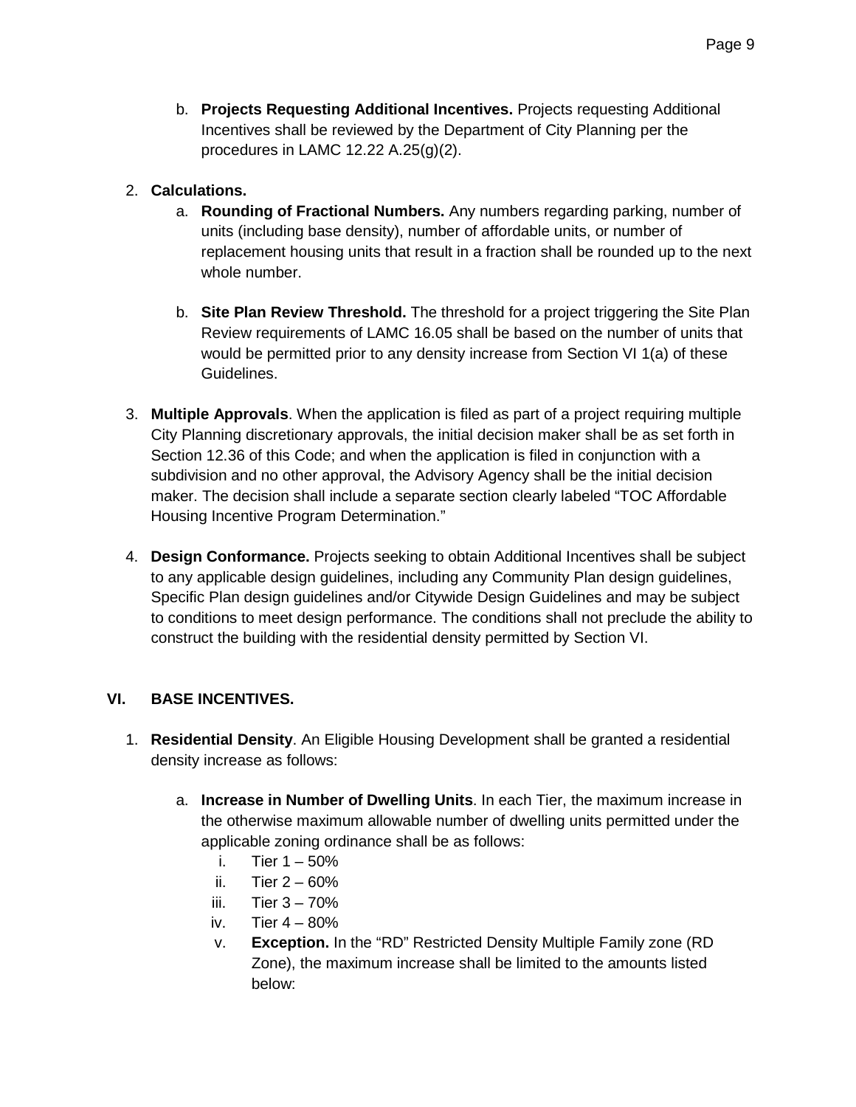b. **Projects Requesting Additional Incentives.** Projects requesting Additional Incentives shall be reviewed by the Department of City Planning per the procedures in LAMC 12.22 [A.25\(g\)\(2\).](http://library.amlegal.com/nxt/gateway.dll?f=templates$fn=default.htm$3.0$vid=amlegal:lapz_ca_m)

#### 2. **Calculations.**

- a. **Rounding of Fractional Numbers.** Any numbers regarding parking, number of units (including base density), number of affordable units, or number of replacement housing units that result in a fraction shall be rounded up to the next whole number.
- b. **Site Plan Review Threshold.** The threshold for a project triggering the Site Plan Review requirements of LAMC 16.05 shall be based on the number of units that would be permitted prior to any density increase from Section VI 1(a) of these Guidelines.
- 3. **Multiple Approvals**. When the application is filed as part of a project requiring multiple City Planning discretionary approvals, the initial decision maker shall be as set forth in Section 12.36 of this Code; and when the application is filed in conjunction with a subdivision and no other approval, the Advisory Agency shall be the initial decision maker. The decision shall include a separate section clearly labeled "TOC Affordable Housing Incentive Program Determination."
- 4. **Design Conformance.** Projects seeking to obtain Additional Incentives shall be subject to any applicable design guidelines, including any Community Plan design guidelines, Specific Plan design guidelines and/or Citywide Design Guidelines and may be subject to conditions to meet design performance. The conditions shall not preclude the ability to construct the building with the residential density permitted by Section VI.

#### **VI. BASE INCENTIVES.**

- 1. **Residential Density**. An Eligible Housing Development shall be granted a residential density increase as follows:
	- a. **Increase in Number of Dwelling Units**. In each Tier, the maximum increase in the otherwise maximum allowable number of dwelling units permitted under the applicable zoning ordinance shall be as follows:
		- i. Tier 1 50%
		- ii. Tier 2 60%
		- iii. Tier  $3 70\%$
		- iv. Tier 4 80%
		- v. **Exception.** In the "RD" Restricted Density Multiple Family zone (RD Zone), the maximum increase shall be limited to the amounts listed below: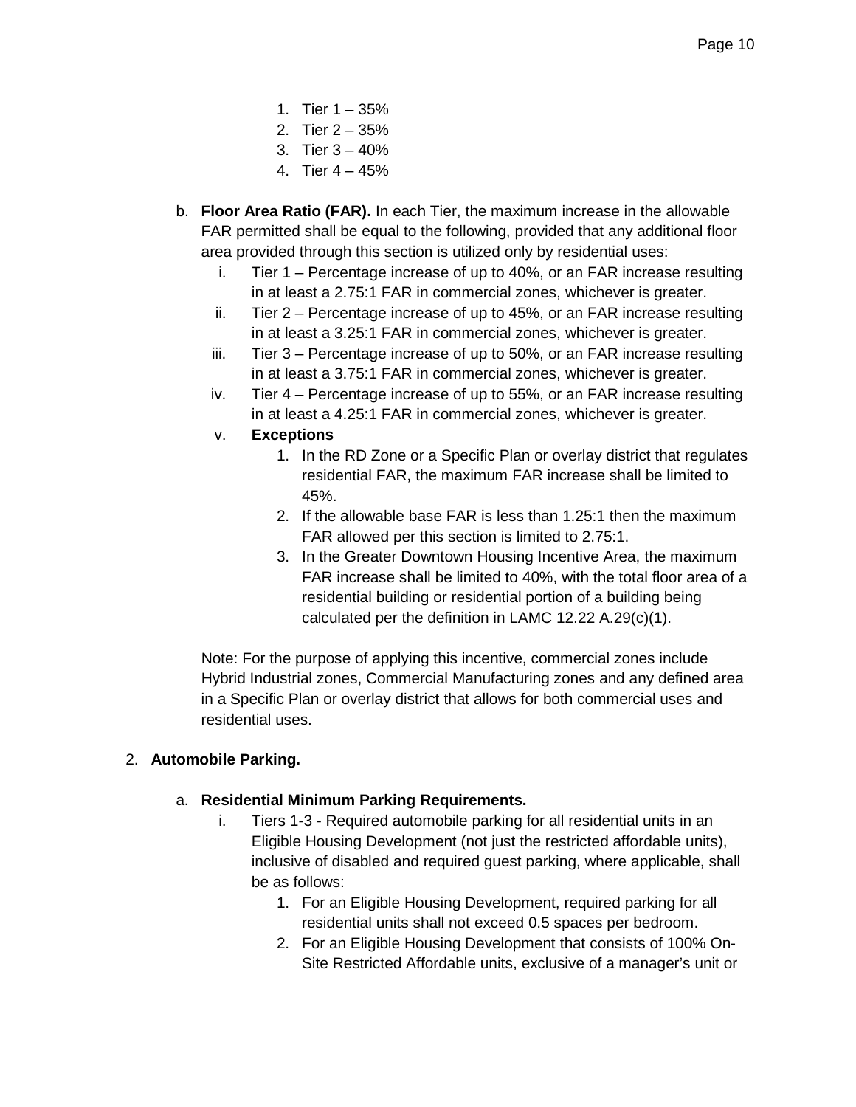- 1. Tier  $1 35%$
- 2. Tier 2 35%
- 3. Tier 3 40%
- 4. Tier 4 45%
- b. **Floor Area Ratio (FAR).** In each Tier, the maximum increase in the allowable FAR permitted shall be equal to the following, provided that any additional floor area provided through this section is utilized only by residential uses:
	- i. Tier 1 Percentage increase of up to 40%, or an FAR increase resulting in at least a 2.75:1 FAR in commercial zones, whichever is greater.
	- ii. Tier 2 Percentage increase of up to 45%, or an FAR increase resulting in at least a 3.25:1 FAR in commercial zones, whichever is greater.
	- iii. Tier 3 Percentage increase of up to 50%, or an FAR increase resulting in at least a 3.75:1 FAR in commercial zones, whichever is greater.
	- iv. Tier 4 Percentage increase of up to 55%, or an FAR increase resulting in at least a 4.25:1 FAR in commercial zones, whichever is greater.
	- v. **Exceptions**
		- 1. In the RD Zone or a Specific Plan or overlay district that regulates residential FAR, the maximum FAR increase shall be limited to 45%.
		- 2. If the allowable base FAR is less than 1.25:1 then the maximum FAR allowed per this section is limited to 2.75:1.
		- 3. In the Greater Downtown Housing Incentive Area, the maximum FAR increase shall be limited to 40%, with the total floor area of a residential building or residential portion of a building being calculated per the definition in LAMC 12.22 A.29(c)(1).

Note: For the purpose of applying this incentive, commercial zones include Hybrid Industrial zones, Commercial Manufacturing zones and any defined area in a Specific Plan or overlay district that allows for both commercial uses and residential uses.

#### 2. **Automobile Parking.**

#### a. **Residential Minimum Parking Requirements.**

- i. Tiers 1-3 Required automobile parking for all residential units in an Eligible Housing Development (not just the restricted affordable units), inclusive of disabled and required guest parking, where applicable, shall be as follows:
	- 1. For an Eligible Housing Development, required parking for all residential units shall not exceed 0.5 spaces per bedroom.
	- 2. For an Eligible Housing Development that consists of 100% On-Site Restricted Affordable units, exclusive of a manager's unit or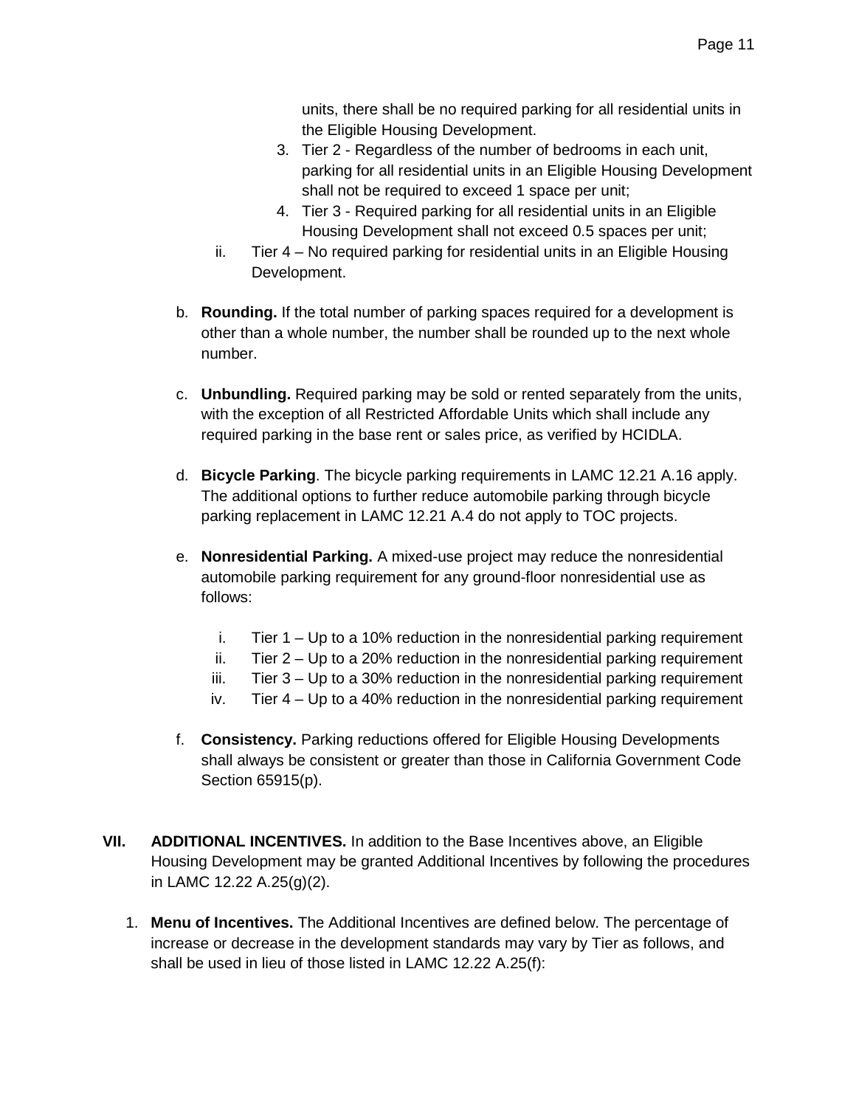units, there shall be no required parking for all residential units in the Eligible Housing Development.

- 3. Tier 2 Regardless of the number of bedrooms in each unit, parking for all residential units in an Eligible Housing Development shall not be required to exceed 1 space per unit;
- 4. Tier 3 Required parking for all residential units in an Eligible Housing Development shall not exceed 0.5 spaces per unit;
- ii. Tier 4 No required parking for residential units in an Eligible Housing Development.
- b. **Rounding.** If the total number of parking spaces required for a development is other than a whole number, the number shall be rounded up to the next whole number.
- c. **Unbundling.** Required parking may be sold or rented separately from the units, with the exception of all Restricted Affordable Units which shall include any required parking in the base rent or sales price, as verified by HCIDLA.
- d. **Bicycle Parking**. The bicycle parking requirements in LAMC 12.21 A.16 apply. The additional options to further reduce automobile parking through bicycle parking replacement in LAMC 12.21 A.4 do not apply to TOC projects.
- e. **Nonresidential Parking.** A mixed-use project may reduce the nonresidential automobile parking requirement for any ground-floor nonresidential use as follows:
	- i. Tier  $1 Up$  to a 10% reduction in the nonresidential parking requirement
	- ii. Tier  $2 Up$  to a 20% reduction in the nonresidential parking requirement
	- iii. Tier 3 Up to a 30% reduction in the nonresidential parking requirement
	- iv. Tier 4 Up to a 40% reduction in the nonresidential parking requirement
- f. **Consistency.** Parking reductions offered for Eligible Housing Developments shall always be consistent or greater than those in California Government Code Section 65915(p).
- **VII. ADDITIONAL INCENTIVES.** In addition to the Base Incentives above, an Eligible Housing Development may be granted Additional Incentives by following the procedures in LAMC 12.22 A.25(g)(2).
	- 1. **Menu of Incentives.** The Additional Incentives are defined below. The percentage of increase or decrease in the development standards may vary by Tier as follows, and shall be used in lieu of those listed in LAMC 12.22 A.25(f):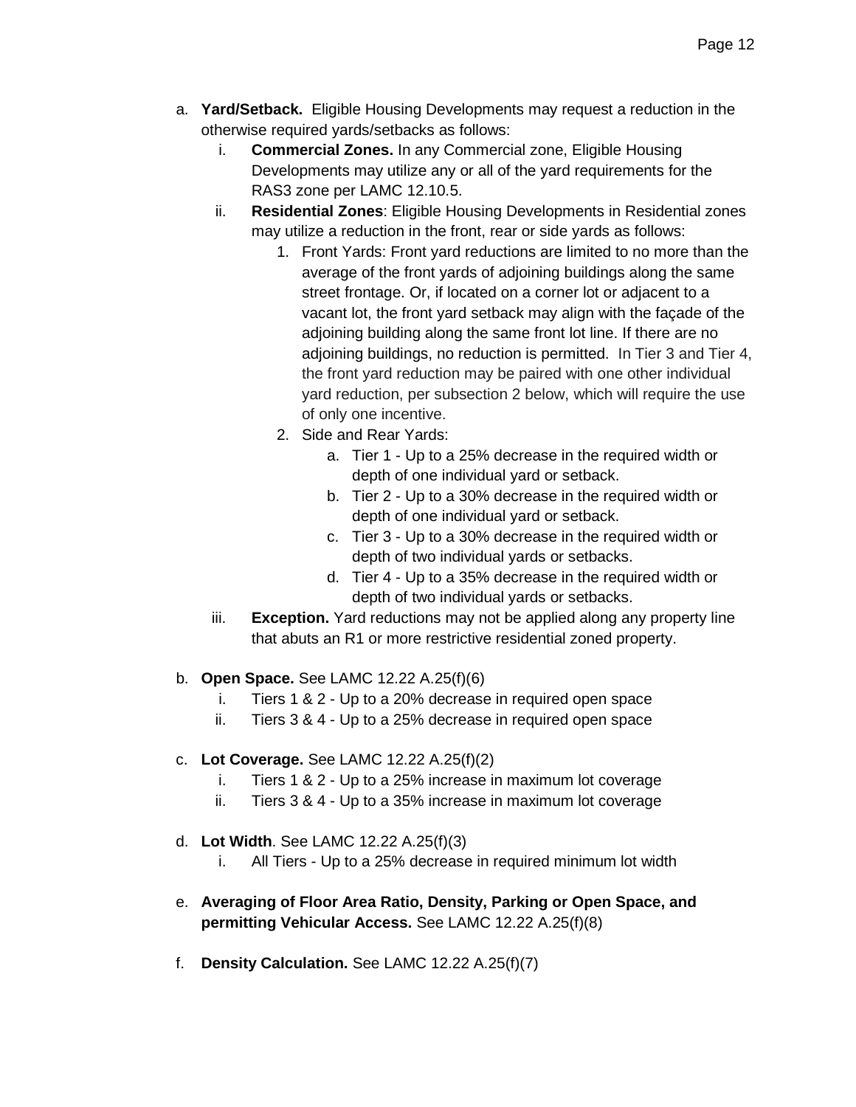- a. **Yard/Setback.** Eligible Housing Developments may request a reduction in the otherwise required yards/setbacks as follows:
	- i. **Commercial Zones.** In any Commercial zone, Eligible Housing Developments may utilize any or all of the yard requirements for the RAS3 zone per LAMC 12.10.5.
	- ii. **Residential Zones**: Eligible Housing Developments in Residential zones may utilize a reduction in the front, rear or side yards as follows:
		- 1. Front Yards: Front yard reductions are limited to no more than the average of the front yards of adjoining buildings along the same street frontage. Or, if located on a corner lot or adjacent to a vacant lot, the front yard setback may align with the façade of the adjoining building along the same front lot line. If there are no adjoining buildings, no reduction is permitted. In Tier 3 and Tier 4, the front yard reduction may be paired with one other individual yard reduction, per subsection 2 below, which will require the use of only one incentive.
		- 2. Side and Rear Yards:
			- a. Tier 1 Up to a 25% decrease in the required width or depth of one individual yard or setback.
			- b. Tier 2 Up to a 30% decrease in the required width or depth of one individual yard or setback.
			- c. Tier 3 Up to a 30% decrease in the required width or depth of two individual yards or setbacks.
			- d. Tier 4 Up to a 35% decrease in the required width or depth of two individual yards or setbacks.
	- iii. **Exception.** Yard reductions may not be applied along any property line that abuts an R1 or more restrictive residential zoned property.
- b. **Open Space.** See LAMC 12.22 A.25(f)(6)
	- i. Tiers 1 & 2 Up to a 20% decrease in required open space
	- ii. Tiers 3 & 4 Up to a 25% decrease in required open space
- c. **Lot Coverage.** See LAMC 12.22 A.25(f)(2)
	- i. Tiers 1 & 2 Up to a 25% increase in maximum lot coverage
	- ii. Tiers 3 & 4 Up to a 35% increase in maximum lot coverage
- d. **Lot Width**. See LAMC 12.22 A.25(f)(3)
	- i. All Tiers Up to a 25% decrease in required minimum lot width
- e. **Averaging of Floor Area Ratio, Density, Parking or Open Space, and permitting Vehicular Access.** See LAMC 12.22 A.25(f)(8)
- f. **Density Calculation.** See LAMC 12.22 A.25(f)(7)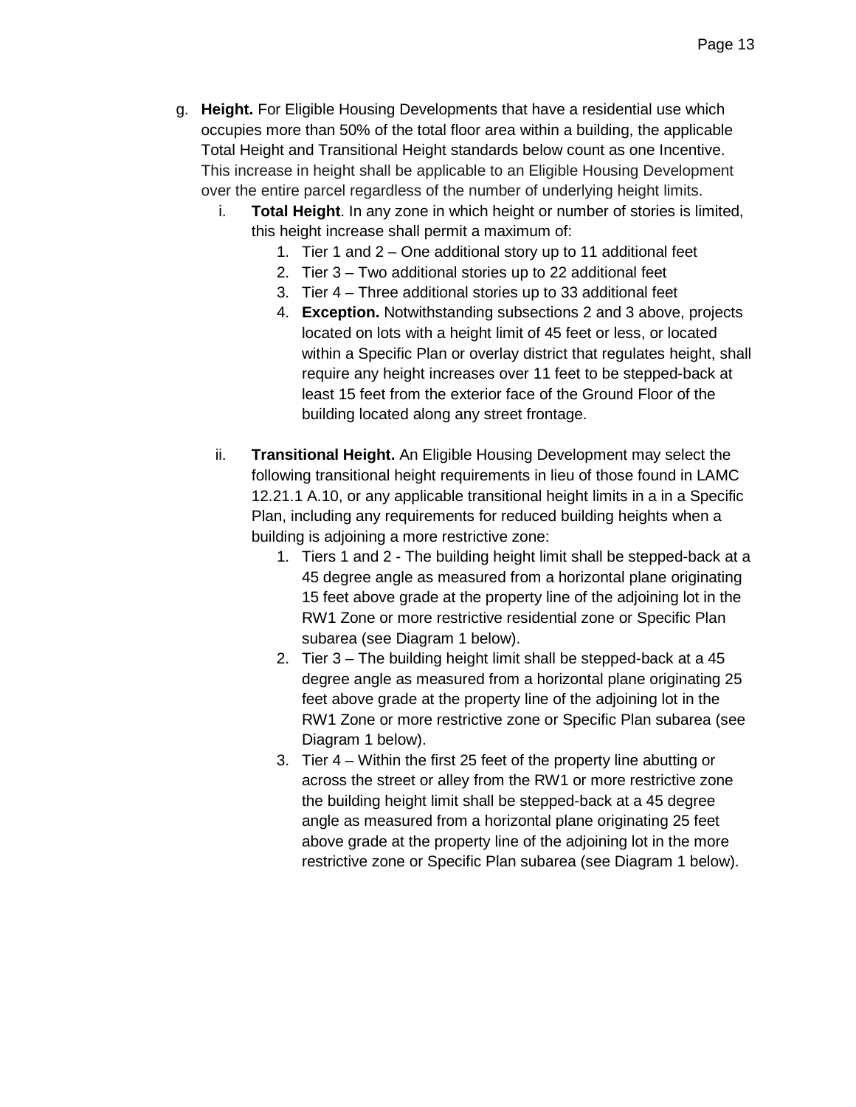- g. **Height.** For Eligible Housing Developments that have a residential use which occupies more than 50% of the total floor area within a building, the applicable Total Height and Transitional Height standards below count as one Incentive. This increase in height shall be applicable to an Eligible Housing Development over the entire parcel regardless of the number of underlying height limits.
	- i. **Total Height**. In any zone in which height or number of stories is limited, this height increase shall permit a maximum of:
		- 1. Tier 1 and 2 One additional story up to 11 additional feet
		- 2. Tier 3 Two additional stories up to 22 additional feet
		- 3. Tier 4 Three additional stories up to 33 additional feet
		- 4. **Exception.** Notwithstanding subsections 2 and 3 above, projects located on lots with a height limit of 45 feet or less, or located within a Specific Plan or overlay district that regulates height, shall require any height increases over 11 feet to be stepped-back at least 15 feet from the exterior face of the Ground Floor of the building located along any street frontage.
	- ii. **Transitional Height.** An Eligible Housing Development may select the following transitional height requirements in lieu of those found in LAMC 12.21.1 A.10, or any applicable transitional height limits in a in a Specific Plan, including any requirements for reduced building heights when a building is adjoining a more restrictive zone:
		- 1. Tiers 1 and 2 The building height limit shall be stepped-back at a 45 degree angle as measured from a horizontal plane originating 15 feet above grade at the property line of the adjoining lot in the RW1 Zone or more restrictive residential zone or Specific Plan subarea (see Diagram 1 below).
		- 2. Tier 3 The building height limit shall be stepped-back at a 45 degree angle as measured from a horizontal plane originating 25 feet above grade at the property line of the adjoining lot in the RW1 Zone or more restrictive zone or Specific Plan subarea (see Diagram 1 below).
		- 3. Tier 4 Within the first 25 feet of the property line abutting or across the street or alley from the RW1 or more restrictive zone the building height limit shall be stepped-back at a 45 degree angle as measured from a horizontal plane originating 25 feet above grade at the property line of the adjoining lot in the more restrictive zone or Specific Plan subarea (see Diagram 1 below).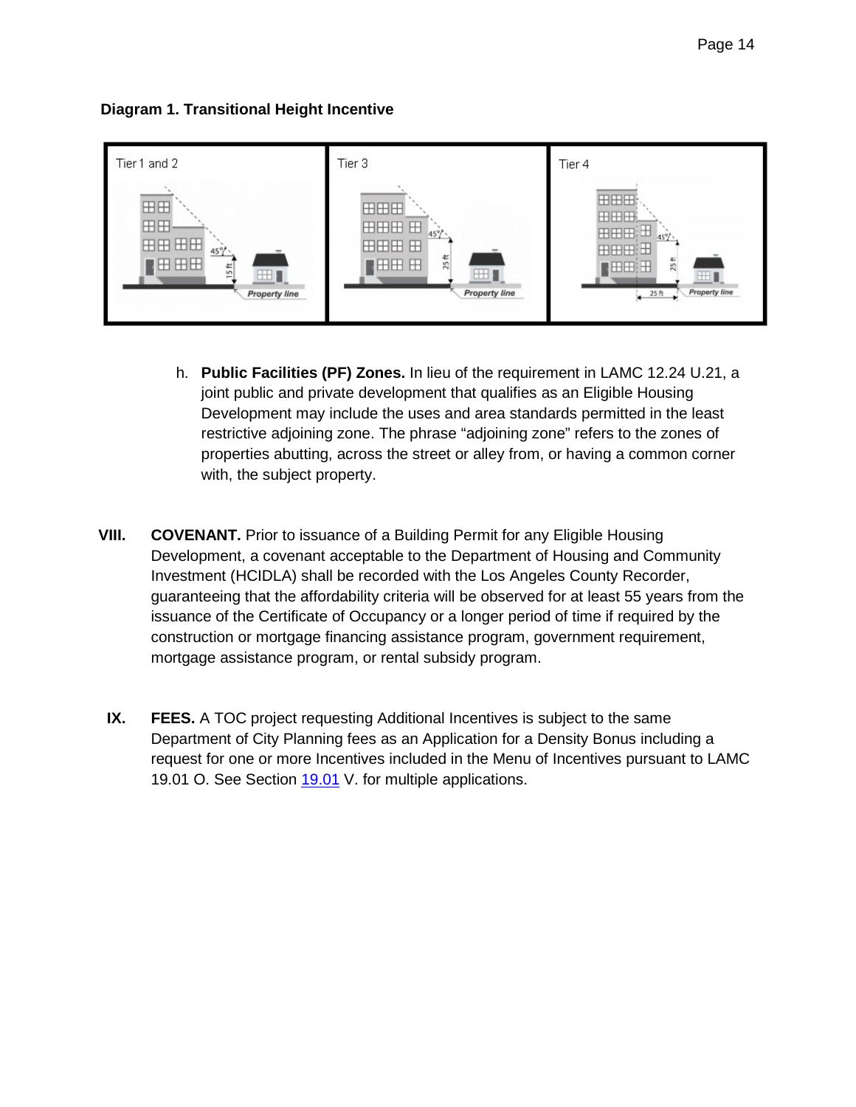



- h. **Public Facilities (PF) Zones.** In lieu of the requirement in LAMC 12.24 U.21, a joint public and private development that qualifies as an Eligible Housing Development may include the uses and area standards permitted in the least restrictive adjoining zone. The phrase "adjoining zone" refers to the zones of properties abutting, across the street or alley from, or having a common corner with, the subject property.
- **VIII. COVENANT.** Prior to issuance of a Building Permit for any Eligible Housing Development, a covenant acceptable to the Department of Housing and Community Investment (HCIDLA) shall be recorded with the Los Angeles County Recorder, guaranteeing that the affordability criteria will be observed for at least 55 years from the issuance of the Certificate of Occupancy or a longer period of time if required by the construction or mortgage financing assistance program, government requirement, mortgage assistance program, or rental subsidy program.
- **IX. FEES.** A TOC project requesting Additional Incentives is subject to the same Department of City Planning fees as an Application for a Density Bonus including a request for one or more Incentives included in the Menu of Incentives pursuant to LAMC 19.01 O. See Section [19.01](http://library.amlegal.com/nxt/gateway.dll?f=jumplink$jumplink_x=Advanced$jumplink_vpc=first$jumplink_xsl=querylink.xsl$jumplink_sel=title;path;content-type;home-title;item-bookmark$jumplink_d=california(lapz)$jumplink_q=%5bfield%20folio-destination-name:%2719.01.%27%5d$jumplink_md=target-id=JD_19.01.) V. for multiple applications.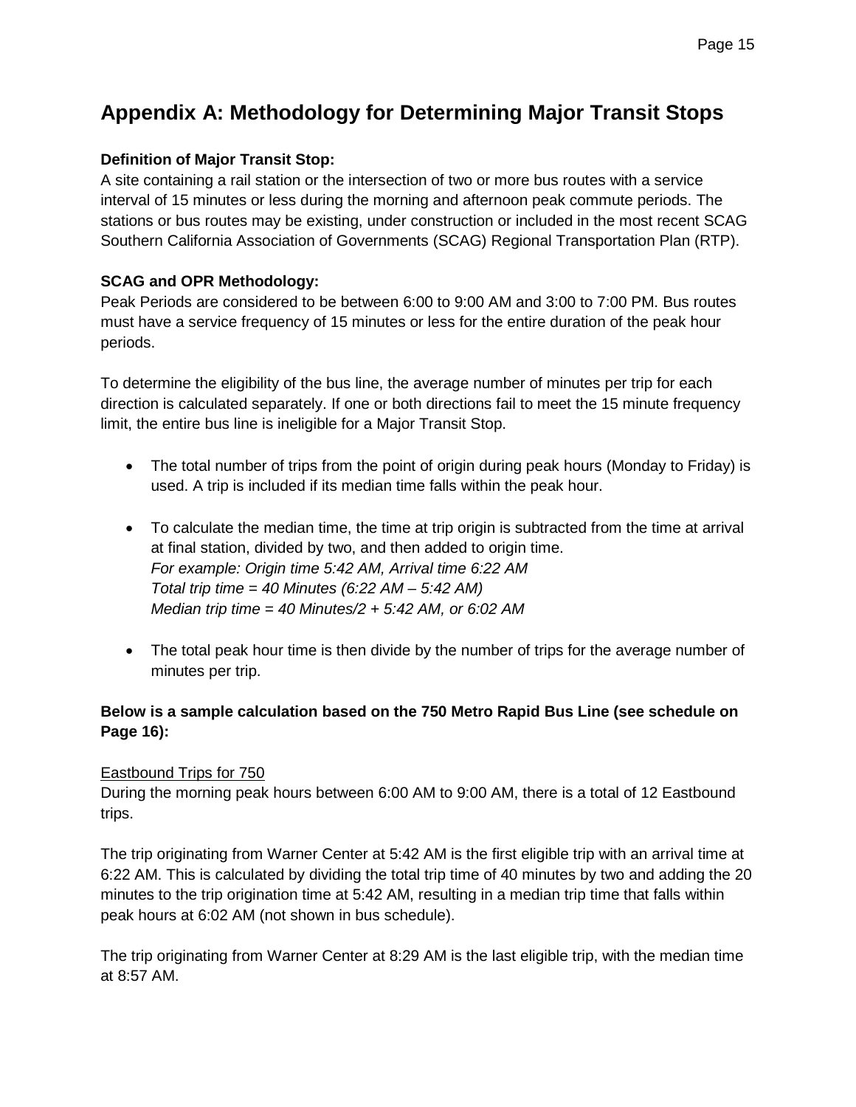# **Appendix A: Methodology for Determining Major Transit Stops**

#### **Definition of Major Transit Stop:**

A site containing a rail station or the intersection of two or more bus routes with a service interval of 15 minutes or less during the morning and afternoon peak commute periods. The stations or bus routes may be existing, under construction or included in the most recent SCAG Southern California Association of Governments (SCAG) Regional Transportation Plan (RTP).

#### **SCAG and OPR Methodology:**

Peak Periods are considered to be between 6:00 to 9:00 AM and 3:00 to 7:00 PM. Bus routes must have a service frequency of 15 minutes or less for the entire duration of the peak hour periods.

To determine the eligibility of the bus line, the average number of minutes per trip for each direction is calculated separately. If one or both directions fail to meet the 15 minute frequency limit, the entire bus line is ineligible for a Major Transit Stop.

- The total number of trips from the point of origin during peak hours (Monday to Friday) is used. A trip is included if its median time falls within the peak hour.
- To calculate the median time, the time at trip origin is subtracted from the time at arrival at final station, divided by two, and then added to origin time. *For example: Origin time 5:42 AM, Arrival time 6:22 AM Total trip time = 40 Minutes (6:22 AM – 5:42 AM) Median trip time = 40 Minutes/2 + 5:42 AM, or 6:02 AM*
- The total peak hour time is then divide by the number of trips for the average number of minutes per trip.

#### **Below is a sample calculation based on the 750 Metro Rapid Bus Line (see schedule on Page 16):**

#### Eastbound Trips for 750

During the morning peak hours between 6:00 AM to 9:00 AM, there is a total of 12 Eastbound trips.

The trip originating from Warner Center at 5:42 AM is the first eligible trip with an arrival time at 6:22 AM. This is calculated by dividing the total trip time of 40 minutes by two and adding the 20 minutes to the trip origination time at 5:42 AM, resulting in a median trip time that falls within peak hours at 6:02 AM (not shown in bus schedule).

The trip originating from Warner Center at 8:29 AM is the last eligible trip, with the median time at 8:57 AM.